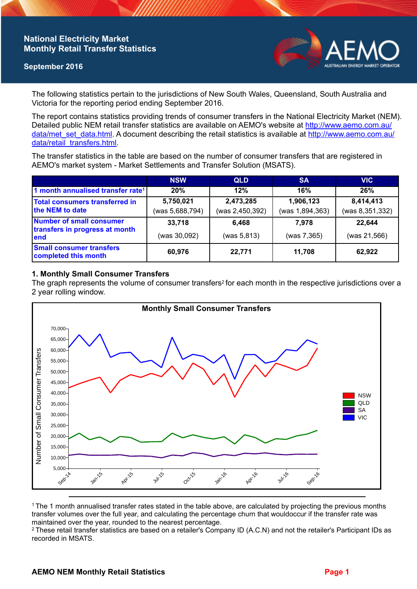## **National Electricity Market Monthly Retail Transfer Statistics**

### **September 2016**



The following statistics pertain to the jurisdictions of New South Wales, Queensland, South Australia and Victoria for the reporting period ending September 2016.

The report contains statistics providing trends of consumer transfers in the National Electricity Market (NEM). Detailed public NEM retail transfer statistics are available on AEMO's website at [http://www.aemo.com.au/](http://www.aemo.com.au/data/met_set_data.html) [data/met\\_set\\_data.html](http://www.aemo.com.au/data/met_set_data.html). A document describing the retail statistics is available at [http://www.aemo.com.au/](http://www.aemo.com.au/data/retail_transfers.html) [data/retail\\_transfers.html](http://www.aemo.com.au/data/retail_transfers.html).

The transfer statistics in the table are based on the number of consumer transfers that are registered in AEMO's market system - Market Settlements and Transfer Solution (MSATS).

|                                                                           | <b>NSW</b>                   | <b>QLD</b>                   | <b>SA</b>                    | <b>VIC</b>                   |
|---------------------------------------------------------------------------|------------------------------|------------------------------|------------------------------|------------------------------|
| 1 month annualised transfer rate <sup>1</sup>                             | 20%                          | 12%                          | 16%                          | 26%                          |
| Total consumers transferred in<br>the NEM to date                         | 5,750,021<br>(was 5,688,794) | 2,473,285<br>(was 2,450,392) | 1,906,123<br>(was 1,894,363) | 8,414,413<br>(was 8,351,332) |
| <b>Number of small consumer</b><br>transfers in progress at month<br>lend | 33,718<br>(was 30,092)       | 6,468<br>(was 5, 813)        | 7.978<br>(was 7,365)         | 22,644<br>(was 21,566)       |
| <b>Small consumer transfers</b><br>completed this month                   | 60,976                       | 22,771                       | 11.708                       | 62,922                       |

### **1. Monthly Small Consumer Transfers**

The graph represents the volume of consumer transfers<sup>2</sup> for each month in the respective jurisdictions over a 2 year rolling window.



<sup>1</sup>The 1 month annualised transfer rates stated in the table above, are calculated by projecting the previous months transfer volumes over the full year, and calculating the percentage churn that wouldoccur if the transfer rate was maintained over the year, rounded to the nearest percentage.

<sup>2</sup> These retail transfer statistics are based on a retailer's Company ID (A.C.N) and not the retailer's Participant IDs as recorded in MSATS.